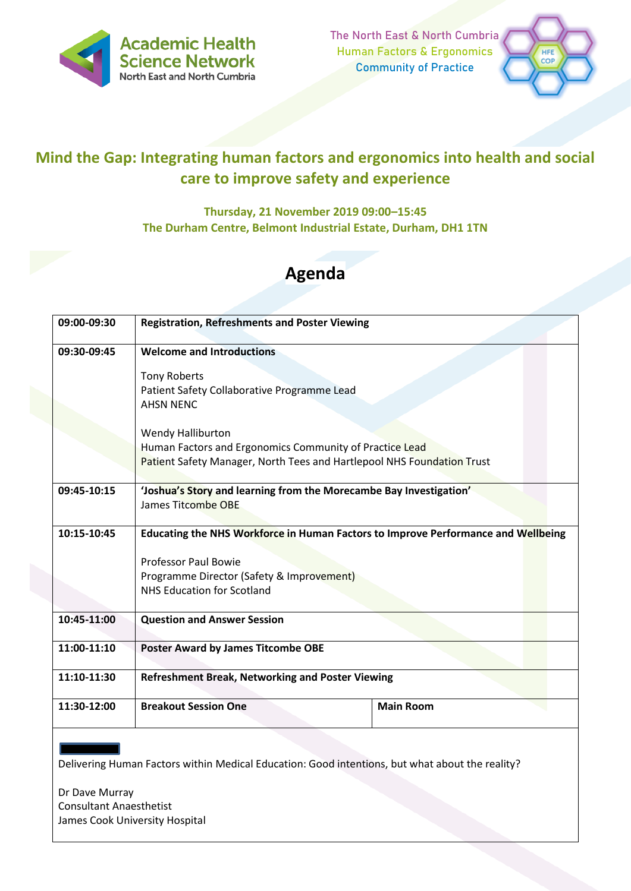

The North East & North Cumbria Human Factors & Ergonomics Community of Practice



# **Mind the Gap: Integrating human factors and ergonomics into health and social care to improve safety and experience**

## **Thursday, 21 November 2019 09:00–15:45 The Durham Centre, Belmont Industrial Estate, Durham, DH1 1TN**

# **Agenda**

| 09:00-09:30 | <b>Registration, Refreshments and Poster Viewing</b>                              |                  |  |
|-------------|-----------------------------------------------------------------------------------|------------------|--|
| 09:30-09:45 | <b>Welcome and Introductions</b>                                                  |                  |  |
|             | <b>Tony Roberts</b>                                                               |                  |  |
|             | Patient Safety Collaborative Programme Lead                                       |                  |  |
|             | <b>AHSN NENC</b>                                                                  |                  |  |
|             | Wendy Halliburton                                                                 |                  |  |
|             | Human Factors and Ergonomics Community of Practice Lead                           |                  |  |
|             | Patient Safety Manager, North Tees and Hartlepool NHS Foundation Trust            |                  |  |
| 09:45-10:15 | 'Joshua's Story and learning from the Morecambe Bay Investigation'                |                  |  |
|             | <b>James Titcombe OBE</b>                                                         |                  |  |
|             |                                                                                   |                  |  |
| 10:15-10:45 | Educating the NHS Workforce in Human Factors to Improve Performance and Wellbeing |                  |  |
|             | <b>Professor Paul Bowie</b>                                                       |                  |  |
|             | Programme Director (Safety & Improvement)                                         |                  |  |
|             | <b>NHS Education for Scotland</b>                                                 |                  |  |
| 10:45-11:00 | <b>Question and Answer Session</b>                                                |                  |  |
|             |                                                                                   |                  |  |
| 11:00-11:10 | <b>Poster Award by James Titcombe OBE</b>                                         |                  |  |
| 11:10-11:30 | <b>Refreshment Break, Networking and Poster Viewing</b>                           |                  |  |
| 11:30-12:00 | <b>Breakout Session One</b>                                                       | <b>Main Room</b> |  |
|             |                                                                                   |                  |  |

Delivering Human Factors within Medical Education: Good intentions, but what about the reality?

Dr Dave Murray Consultant Anaesthetist James Cook University Hospital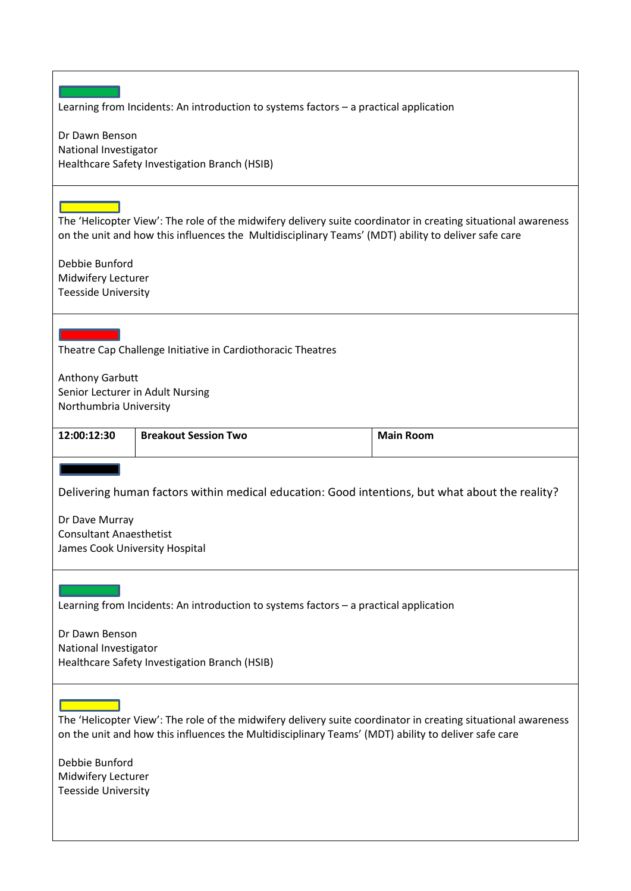| Learning from Incidents: An introduction to systems factors - a practical application                                                                                                                                                                                                                                                                    |                                                                                                                                                                                                                      |                  |  |  |
|----------------------------------------------------------------------------------------------------------------------------------------------------------------------------------------------------------------------------------------------------------------------------------------------------------------------------------------------------------|----------------------------------------------------------------------------------------------------------------------------------------------------------------------------------------------------------------------|------------------|--|--|
| Dr Dawn Benson<br>National Investigator<br>Healthcare Safety Investigation Branch (HSIB)                                                                                                                                                                                                                                                                 |                                                                                                                                                                                                                      |                  |  |  |
| and the state of the state of the state of the state of the state of the state of the state of the state of th<br>The 'Helicopter View': The role of the midwifery delivery suite coordinator in creating situational awareness<br>on the unit and how this influences the Multidisciplinary Teams' (MDT) ability to deliver safe care<br>Debbie Bunford |                                                                                                                                                                                                                      |                  |  |  |
| Midwifery Lecturer<br><b>Teesside University</b>                                                                                                                                                                                                                                                                                                         |                                                                                                                                                                                                                      |                  |  |  |
| Theatre Cap Challenge Initiative in Cardiothoracic Theatres                                                                                                                                                                                                                                                                                              |                                                                                                                                                                                                                      |                  |  |  |
| Anthony Garbutt<br>Senior Lecturer in Adult Nursing<br>Northumbria University                                                                                                                                                                                                                                                                            |                                                                                                                                                                                                                      |                  |  |  |
| 12:00:12:30                                                                                                                                                                                                                                                                                                                                              | <b>Breakout Session Two</b>                                                                                                                                                                                          | <b>Main Room</b> |  |  |
| Delivering human factors within medical education: Good intentions, but what about the reality?<br>Dr Dave Murray<br><b>Consultant Anaesthetist</b><br>James Cook University Hospital                                                                                                                                                                    |                                                                                                                                                                                                                      |                  |  |  |
|                                                                                                                                                                                                                                                                                                                                                          |                                                                                                                                                                                                                      |                  |  |  |
|                                                                                                                                                                                                                                                                                                                                                          | Learning from Incidents: An introduction to systems factors - a practical application                                                                                                                                |                  |  |  |
| Dr Dawn Benson<br>National Investigator                                                                                                                                                                                                                                                                                                                  | Healthcare Safety Investigation Branch (HSIB)                                                                                                                                                                        |                  |  |  |
|                                                                                                                                                                                                                                                                                                                                                          | The 'Helicopter View': The role of the midwifery delivery suite coordinator in creating situational awareness<br>on the unit and how this influences the Multidisciplinary Teams' (MDT) ability to deliver safe care |                  |  |  |
| Debbie Bunford<br>Midwifery Lecturer<br><b>Teesside University</b>                                                                                                                                                                                                                                                                                       |                                                                                                                                                                                                                      |                  |  |  |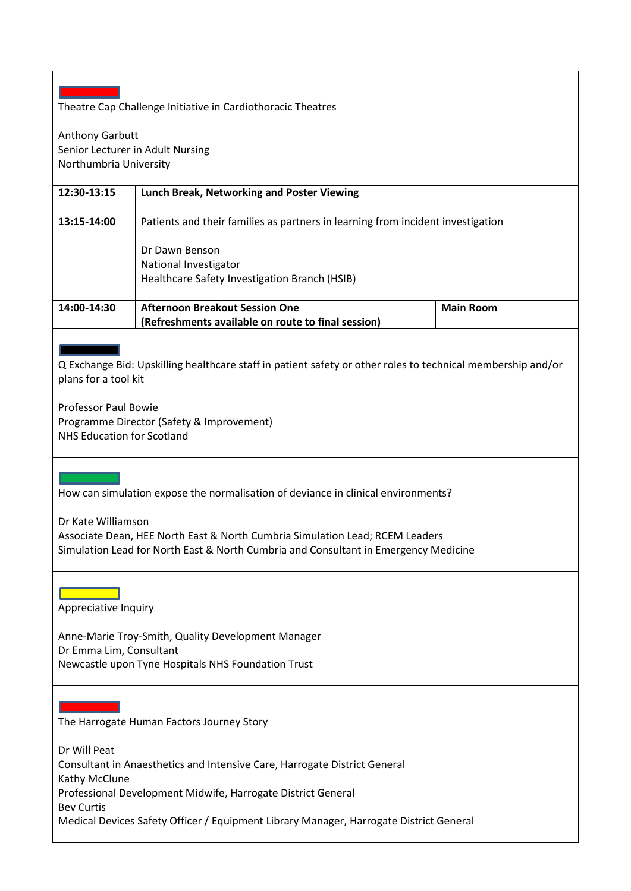#### Theatre Cap Challenge Initiative in Cardiothoracic Theatres

Anthony Garbutt Senior Lecturer in Adult Nursing Northumbria University

## **12:30-13:15 Lunch Break, Networking and Poster Viewing 13:15-14:00** Patients and their families as partners in learning from incident investigation Dr Dawn Benson National Investigator Healthcare Safety Investigation Branch (HSIB) **14:00-14:30 Afternoon Breakout Session One (Refreshments available on route to final session) Main Room**

l Q Exchange Bid: Upskilling healthcare staff in patient safety or other roles to technical membership and/or plans for a tool kit

Professor Paul Bowie Programme Director (Safety & Improvement) NHS Education for Scotland

How can simulation expose the normalisation of deviance in clinical environments?

Dr Kate Williamson

Associate Dean, HEE North East & North Cumbria Simulation Lead; RCEM Leaders Simulation Lead for North East & North Cumbria and Consultant in Emergency Medicine

### l

Appreciative Inquiry

Anne-Marie Troy-Smith, Quality Development Manager Dr Emma Lim, Consultant Newcastle upon Tyne Hospitals NHS Foundation Trust

The Harrogate Human Factors Journey Story

Dr Will Peat Consultant in Anaesthetics and Intensive Care, Harrogate District General Kathy McClune Professional Development Midwife, Harrogate District General Bev Curtis Medical Devices Safety Officer / Equipment Library Manager, Harrogate District General